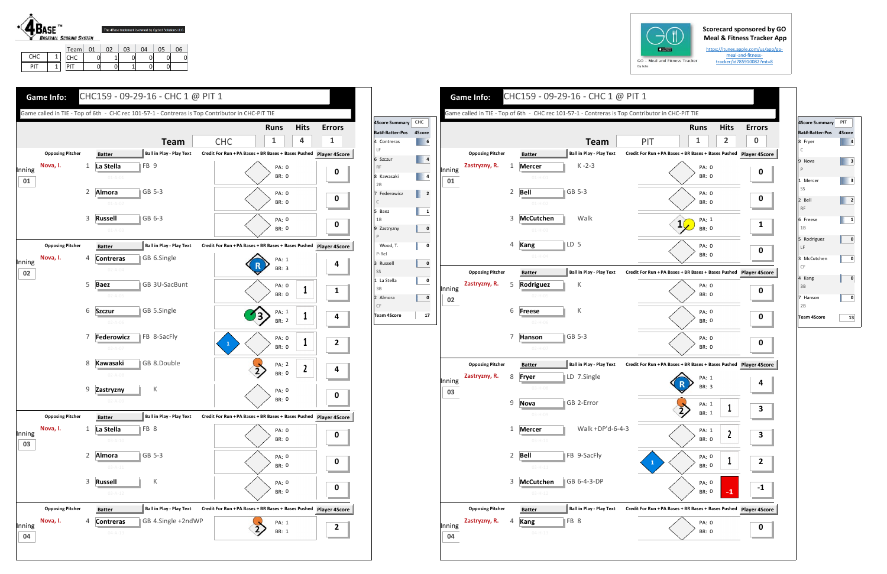## **Scorecard sponsored by GO Meal & Fitness Tracker App**

https://itunes.apple.com/us/app/go‐ meal‐and‐fitness‐tracker/id785910082?mt=8



PIT1

PIT | 0| 0| 1| 0| 0







| <b>4Score Summary</b>  | PIT |
|------------------------|-----|
| Bat#-Batter-Pos 4Score |     |
| 8 Fryer<br>Ċ           | 4   |
| 9<br>Nova<br>P         | 3   |
| 1 Mercer<br>SS         | 3   |
| 2 Bell<br><b>RF</b>    | 2   |
| 6 Freese<br>1B         | 1   |
| 5 Rodriguez<br>LF      | 0   |
| 3 McCutchen<br>CF      | 0   |
| 4 Kang<br>3B           | 0   |
| Hanson<br>2B           | 0   |
| <b>Team 4Score</b>     | 13  |